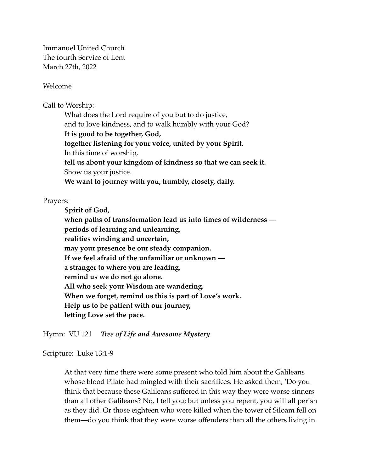Immanuel United Church The fourth Service of Lent March 27th, 2022

Welcome

Call to Worship:

What does the Lord require of you but to do justice, and to love kindness, and to walk humbly with your God? **It is good to be together, God, together listening for your voice, united by your Spirit.**  In this time of worship, **tell us about your kingdom of kindness so that we can seek it.**  Show us your justice. **We want to journey with you, humbly, closely, daily.** 

Prayers:

**Spirit of God, when paths of transformation lead us into times of wilderness periods of learning and unlearning, realities winding and uncertain, may your presence be our steady companion. If we feel afraid of the unfamiliar or unknown a stranger to where you are leading, remind us we do not go alone. All who seek your Wisdom are wandering. When we forget, remind us this is part of Love's work. Help us to be patient with our journey, letting Love set the pace.** 

Hymn: VU 121 *Tree of Life and Awesome Mystery*

Scripture: Luke 13:1-9

At that very time there were some present who told him about the Galileans whose blood Pilate had mingled with their sacrifices. He asked them, 'Do you think that because these Galileans suffered in this way they were worse sinners than all other Galileans? No, I tell you; but unless you repent, you will all perish as they did. Or those eighteen who were killed when the tower of Siloam fell on them—do you think that they were worse offenders than all the others living in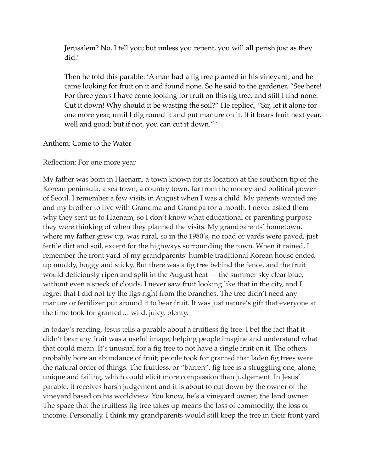Jerusalem? No, I tell you; but unless you repent, you will all perish just as they did.'

Then he told this parable: 'A man had a fig tree planted in his vineyard; and he came looking for fruit on it and found none. So he said to the gardener, "See here! For three years I have come looking for fruit on this fig tree, and still I find none. Cut it down! Why should it be wasting the soil?" He replied, "Sir, let it alone for one more year, until I dig round it and put manure on it. If it bears fruit next year, well and good; but if not, you can cut it down." '

## Anthem: Come to the Water

## Reflection: For one more year

My father was born in Haenam, a town known for its location at the southern tip of the Korean peninsula, a sea town, a country town, far from the money and political power of Seoul. I remember a few visits in August when I was a child. My parents wanted me and my brother to live with Grandma and Grandpa for a month. I never asked them why they sent us to Haenam, so I don't know what educational or parenting purpose they were thinking of when they planned the visits. My grandparents' hometown, where my father grew up, was rural, so in the 1980's, no road or yards were paved, just fertile dirt and soil, except for the highways surrounding the town. When it rained, I remember the front yard of my grandparents' humble traditional Korean house ended up muddy, boggy and sticky. But there was a fig tree behind the fence, and the fruit would deliciously ripen and split in the August heat — the summer sky clear blue, without even a speck of clouds. I never saw fruit looking like that in the city, and I regret that I did not try the figs right from the branches. The tree didn't need any manure or fertilizer put around it to bear fruit. It was just nature's gift that everyone at the time took for granted… wild, juicy, plenty.

In today's reading, Jesus tells a parable about a fruitless fig tree. I bet the fact that it didn't bear any fruit was a useful image, helping people imagine and understand what that could mean. It's unusual for a fig tree to not have a single fruit on it. The others probably bore an abundance of fruit; people took for granted that laden fig trees were the natural order of things. The fruitless, or "barren", fig tree is a struggling one, alone, unique and failing, which could elicit more compassion than judgement. In Jesus' parable, it receives harsh judgement and it is about to cut down by the owner of the vineyard based on his worldview. You know, he's a vineyard owner, the land owner. The space that the fruitless fig tree takes up means the loss of commodity, the loss of income. Personally, I think my grandparents would still keep the tree in their front yard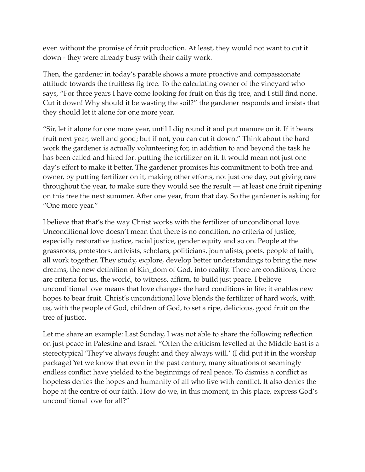even without the promise of fruit production. At least, they would not want to cut it down - they were already busy with their daily work.

Then, the gardener in today's parable shows a more proactive and compassionate attitude towards the fruitless fig tree. To the calculating owner of the vineyard who says, "For three years I have come looking for fruit on this fig tree, and I still find none. Cut it down! Why should it be wasting the soil?" the gardener responds and insists that they should let it alone for one more year.

"Sir, let it alone for one more year, until I dig round it and put manure on it. If it bears fruit next year, well and good; but if not, you can cut it down." Think about the hard work the gardener is actually volunteering for, in addition to and beyond the task he has been called and hired for: putting the fertilizer on it. It would mean not just one day's effort to make it better. The gardener promises his commitment to both tree and owner, by putting fertilizer on it, making other efforts, not just one day, but giving care throughout the year, to make sure they would see the result — at least one fruit ripening on this tree the next summer. After one year, from that day. So the gardener is asking for "One more year."

I believe that that's the way Christ works with the fertilizer of unconditional love. Unconditional love doesn't mean that there is no condition, no criteria of justice, especially restorative justice, racial justice, gender equity and so on. People at the grassroots, protestors, activists, scholars, politicians, journalists, poets, people of faith, all work together. They study, explore, develop better understandings to bring the new dreams, the new definition of Kin\_dom of God, into reality. There are conditions, there are criteria for us, the world, to witness, affirm, to build just peace. I believe unconditional love means that love changes the hard conditions in life; it enables new hopes to bear fruit. Christ's unconditional love blends the fertilizer of hard work, with us, with the people of God, children of God, to set a ripe, delicious, good fruit on the tree of justice.

Let me share an example: Last Sunday, I was not able to share the following reflection on just peace in Palestine and Israel. "Often the criticism levelled at the Middle East is a stereotypical 'They've always fought and they always will.' (I did put it in the worship package) Yet we know that even in the past century, many situations of seemingly endless conflict have yielded to the beginnings of real peace. To dismiss a conflict as hopeless denies the hopes and humanity of all who live with conflict. It also denies the hope at the centre of our faith. How do we, in this moment, in this place, express God's unconditional love for all?"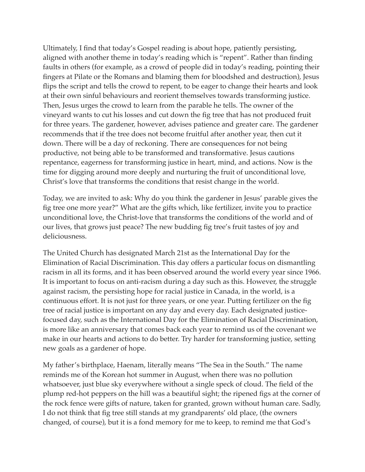Ultimately, I find that today's Gospel reading is about hope, patiently persisting, aligned with another theme in today's reading which is "repent". Rather than finding faults in others (for example, as a crowd of people did in today's reading, pointing their fingers at Pilate or the Romans and blaming them for bloodshed and destruction), Jesus flips the script and tells the crowd to repent, to be eager to change their hearts and look at their own sinful behaviours and reorient themselves towards transforming justice. Then, Jesus urges the crowd to learn from the parable he tells. The owner of the vineyard wants to cut his losses and cut down the fig tree that has not produced fruit for three years. The gardener, however, advises patience and greater care. The gardener recommends that if the tree does not become fruitful after another year, then cut it down. There will be a day of reckoning. There are consequences for not being productive, not being able to be transformed and transformative. Jesus cautions repentance, eagerness for transforming justice in heart, mind, and actions. Now is the time for digging around more deeply and nurturing the fruit of unconditional love, Christ's love that transforms the conditions that resist change in the world.

Today, we are invited to ask: Why do you think the gardener in Jesus' parable gives the fig tree one more year?" What are the gifts which, like fertilizer, invite you to practice unconditional love, the Christ-love that transforms the conditions of the world and of our lives, that grows just peace? The new budding fig tree's fruit tastes of joy and deliciousness.

The United Church has designated March 21st as the International Day for the Elimination of Racial Discrimination. This day offers a particular focus on dismantling racism in all its forms, and it has been observed around the world every year since 1966. It is important to focus on anti-racism during a day such as this. However, the struggle against racism, the persisting hope for racial justice in Canada, in the world, is a continuous effort. It is not just for three years, or one year. Putting fertilizer on the fig tree of racial justice is important on any day and every day. Each designated justicefocused day, such as the International Day for the Elimination of Racial Discrimination, is more like an anniversary that comes back each year to remind us of the covenant we make in our hearts and actions to do better. Try harder for transforming justice, setting new goals as a gardener of hope.

My father's birthplace, Haenam, literally means "The Sea in the South." The name reminds me of the Korean hot summer in August, when there was no pollution whatsoever, just blue sky everywhere without a single speck of cloud. The field of the plump red-hot peppers on the hill was a beautiful sight; the ripened figs at the corner of the rock fence were gifts of nature, taken for granted, grown without human care. Sadly, I do not think that fig tree still stands at my grandparents' old place, (the owners changed, of course), but it is a fond memory for me to keep, to remind me that God's